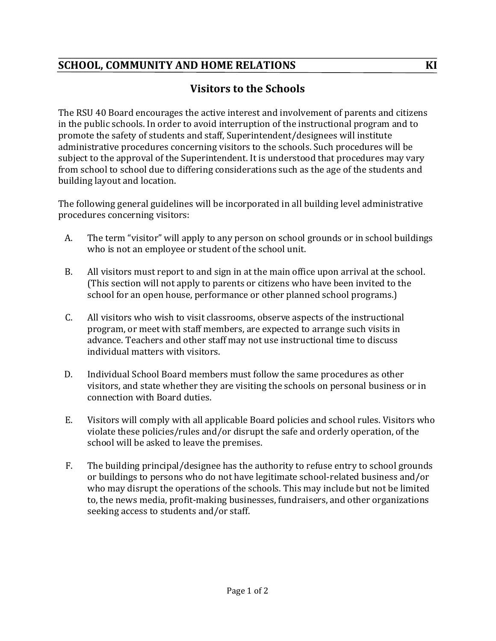## **SCHOOL, COMMUNITY AND HOME RELATIONS KI**

## **Visitors to the Schools**

The RSU 40 Board encourages the active interest and involvement of parents and citizens in the public schools. In order to avoid interruption of the instructional program and to promote the safety of students and staff, Superintendent/designees will institute administrative procedures concerning visitors to the schools. Such procedures will be subject to the approval of the Superintendent. It is understood that procedures may vary from school to school due to differing considerations such as the age of the students and building layout and location.

The following general guidelines will be incorporated in all building level administrative procedures concerning visitors:

- A. The term "visitor" will apply to any person on school grounds or in school buildings who is not an employee or student of the school unit.
- B. All visitors must report to and sign in at the main office upon arrival at the school. (This section will not apply to parents or citizens who have been invited to the school for an open house, performance or other planned school programs.)
- C. All visitors who wish to visit classrooms, observe aspects of the instructional program, or meet with staff members, are expected to arrange such visits in advance. Teachers and other staff may not use instructional time to discuss individual matters with visitors.
- D. Individual School Board members must follow the same procedures as other visitors, and state whether they are visiting the schools on personal business or in connection with Board duties.
- E. Visitors will comply with all applicable Board policies and school rules. Visitors who violate these policies/rules and/or disrupt the safe and orderly operation, of the school will be asked to leave the premises.
- F. The building principal/designee has the authority to refuse entry to school grounds or buildings to persons who do not have legitimate school-related business and/or who may disrupt the operations of the schools. This may include but not be limited to, the news media, profit-making businesses, fundraisers, and other organizations seeking access to students and/or staff.